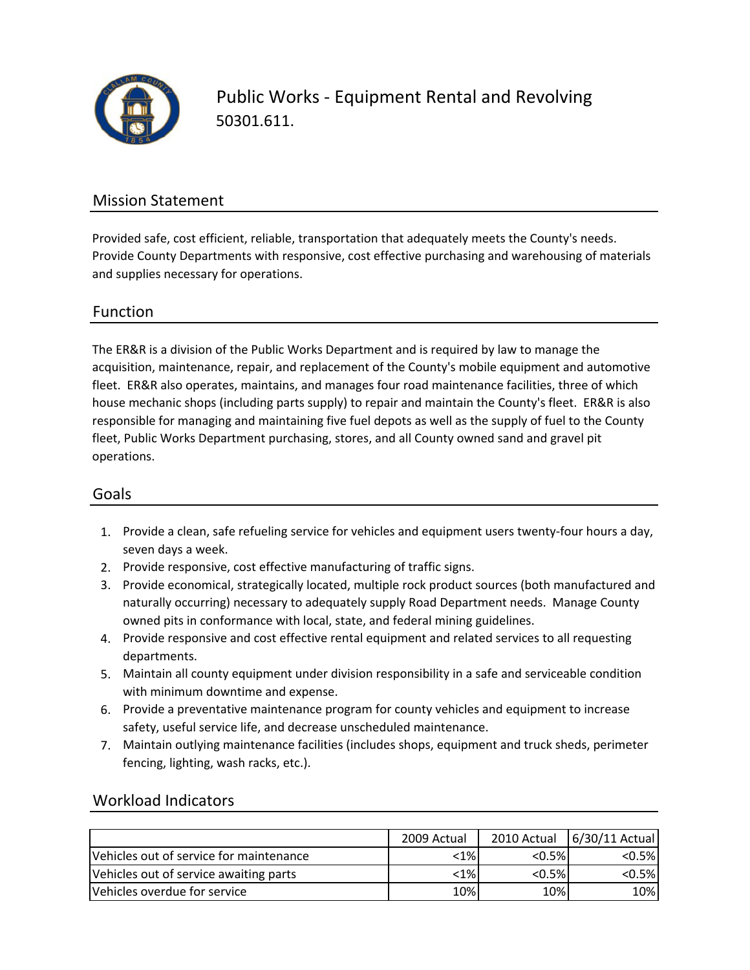

Public Works ‐ Equipment Rental and Revolving 50301.611.

### Mission Statement

Provided safe, cost efficient, reliable, transportation that adequately meets the County's needs. Provide County Departments with responsive, cost effective purchasing and warehousing of materials and supplies necessary for operations.

### Function

The ER&R is a division of the Public Works Department and is required by law to manage the acquisition, maintenance, repair, and replacement of the County's mobile equipment and automotive fleet. ER&R also operates, maintains, and manages four road maintenance facilities, three of which house mechanic shops (including parts supply) to repair and maintain the County's fleet. ER&R is also responsible for managing and maintaining five fuel depots as well as the supply of fuel to the County fleet, Public Works Department purchasing, stores, and all County owned sand and gravel pit operations.

#### Goals

- 1. Provide a clean, safe refueling service for vehicles and equipment users twenty‐four hours a day, seven days a week.
- 2. Provide responsive, cost effective manufacturing of traffic signs.
- 3. Provide economical, strategically located, multiple rock product sources (both manufactured and naturally occurring) necessary to adequately supply Road Department needs. Manage County owned pits in conformance with local, state, and federal mining guidelines.
- 4. Provide responsive and cost effective rental equipment and related services to all requesting departments.
- 5. Maintain all county equipment under division responsibility in a safe and serviceable condition with minimum downtime and expense.
- 6. Provide a preventative maintenance program for county vehicles and equipment to increase safety, useful service life, and decrease unscheduled maintenance.
- 7. Maintain outlying maintenance facilities (includes shops, equipment and truck sheds, perimeter fencing, lighting, wash racks, etc.).

### Workload Indicators

|                                         | 2009 Actual |           | 2010 Actual   6/30/11 Actual |
|-----------------------------------------|-------------|-----------|------------------------------|
| Vehicles out of service for maintenance | $< 1\%$     | $< 0.5\%$ | $< 0.5\%$                    |
| Vehicles out of service awaiting parts  | $< 1\%$     | $< 0.5\%$ | $< 0.5\%$                    |
| Vehicles overdue for service            | 10%         | 10%       | 10%                          |